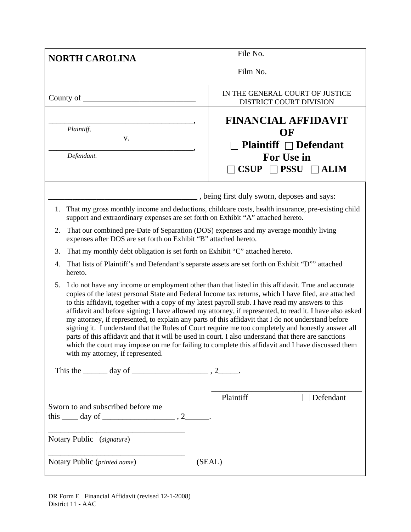| <b>NORTH CAROLINA</b>                                                                                                                                                                                                                                                                                                                                                                                                                                                                                                                                                                                                                                                                                                                                                                                                                                                                            | File No.                                                                                                              |  |  |
|--------------------------------------------------------------------------------------------------------------------------------------------------------------------------------------------------------------------------------------------------------------------------------------------------------------------------------------------------------------------------------------------------------------------------------------------------------------------------------------------------------------------------------------------------------------------------------------------------------------------------------------------------------------------------------------------------------------------------------------------------------------------------------------------------------------------------------------------------------------------------------------------------|-----------------------------------------------------------------------------------------------------------------------|--|--|
|                                                                                                                                                                                                                                                                                                                                                                                                                                                                                                                                                                                                                                                                                                                                                                                                                                                                                                  | Film No.                                                                                                              |  |  |
| County of $\_\_$                                                                                                                                                                                                                                                                                                                                                                                                                                                                                                                                                                                                                                                                                                                                                                                                                                                                                 | IN THE GENERAL COURT OF JUSTICE<br>DISTRICT COURT DIVISION                                                            |  |  |
| Plaintiff,<br>V.<br>Defendant.                                                                                                                                                                                                                                                                                                                                                                                                                                                                                                                                                                                                                                                                                                                                                                                                                                                                   | <b>FINANCIAL AFFIDAVIT</b><br>OF<br><b>Plaintiff</b> $\Box$ Defendant<br>For Use in<br>$CSUP$ $\Box$ PSSU $\Box$ ALIM |  |  |
|                                                                                                                                                                                                                                                                                                                                                                                                                                                                                                                                                                                                                                                                                                                                                                                                                                                                                                  | _, being first duly sworn, deposes and says:                                                                          |  |  |
| support and extraordinary expenses are set forth on Exhibit "A" attached hereto.                                                                                                                                                                                                                                                                                                                                                                                                                                                                                                                                                                                                                                                                                                                                                                                                                 | 1. That my gross monthly income and deductions, childcare costs, health insurance, pre-existing child                 |  |  |
| That our combined pre-Date of Separation (DOS) expenses and my average monthly living<br>2.<br>expenses after DOS are set forth on Exhibit "B" attached hereto.                                                                                                                                                                                                                                                                                                                                                                                                                                                                                                                                                                                                                                                                                                                                  |                                                                                                                       |  |  |
| That my monthly debt obligation is set forth on Exhibit "C" attached hereto.<br>3.                                                                                                                                                                                                                                                                                                                                                                                                                                                                                                                                                                                                                                                                                                                                                                                                               |                                                                                                                       |  |  |
| That lists of Plaintiff's and Defendant's separate assets are set forth on Exhibit "D"" attached<br>4.<br>hereto.                                                                                                                                                                                                                                                                                                                                                                                                                                                                                                                                                                                                                                                                                                                                                                                |                                                                                                                       |  |  |
| I do not have any income or employment other than that listed in this affidavit. True and accurate<br>5.<br>copies of the latest personal State and Federal Income tax returns, which I have filed, are attached<br>to this affidavit, together with a copy of my latest payroll stub. I have read my answers to this<br>affidavit and before signing; I have allowed my attorney, if represented, to read it. I have also asked<br>my attorney, if represented, to explain any parts of this affidavit that I do not understand before<br>signing it. I understand that the Rules of Court require me too completely and honestly answer all<br>parts of this affidavit and that it will be used in court. I also understand that there are sanctions<br>which the court may impose on me for failing to complete this affidavit and I have discussed them<br>with my attorney, if represented. |                                                                                                                       |  |  |
| This the $\_\_\_\_$ day of $\_\_\_\_\_\_\_$ , 2 $\_\_\_\_\_$ .                                                                                                                                                                                                                                                                                                                                                                                                                                                                                                                                                                                                                                                                                                                                                                                                                                   |                                                                                                                       |  |  |
| Sworn to and subscribed before me<br>this $\_\_\_$ day of $\_\_\_\_\_\_\$ , 2 $\_\_\_\_\_\$ .<br>Notary Public (signature)                                                                                                                                                                                                                                                                                                                                                                                                                                                                                                                                                                                                                                                                                                                                                                       | Plaintiff<br>$\Box$ Defendant                                                                                         |  |  |
| Notary Public (printed name)                                                                                                                                                                                                                                                                                                                                                                                                                                                                                                                                                                                                                                                                                                                                                                                                                                                                     | (SEAL)                                                                                                                |  |  |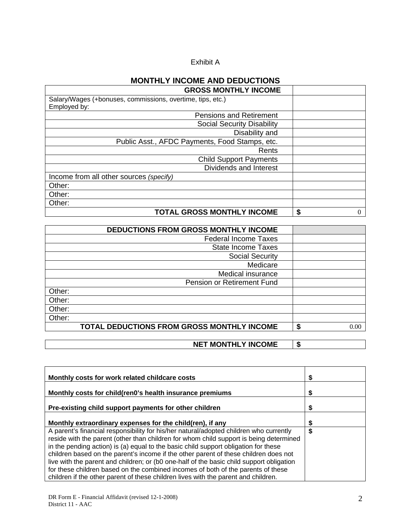### Exhibit A

# **MONTHLY INCOME AND DEDUCTIONS**

| <b>GROSS MONTHLY INCOME</b>                                                |         |
|----------------------------------------------------------------------------|---------|
| Salary/Wages (+bonuses, commissions, overtime, tips, etc.)<br>Employed by: |         |
| <b>Pensions and Retirement</b>                                             |         |
| <b>Social Security Disability</b>                                          |         |
| Disability and                                                             |         |
| Public Asst., AFDC Payments, Food Stamps, etc.                             |         |
| Rents                                                                      |         |
| <b>Child Support Payments</b>                                              |         |
| Dividends and Interest                                                     |         |
| Income from all other sources (specify)                                    |         |
| Other:                                                                     |         |
| Other:                                                                     |         |
| Other:                                                                     |         |
| <b>TOTAL GROSS MONTHLY INCOME</b>                                          | \$<br>0 |

| DEDUCTIONS FROM GROSS MONTHLY INCOME       |   |      |
|--------------------------------------------|---|------|
| <b>Federal Income Taxes</b>                |   |      |
| <b>State Income Taxes</b>                  |   |      |
| <b>Social Security</b>                     |   |      |
| Medicare                                   |   |      |
| Medical insurance                          |   |      |
| Pension or Retirement Fund                 |   |      |
| Other:                                     |   |      |
| Other:                                     |   |      |
| Other:                                     |   |      |
| Other:                                     |   |      |
| TOTAL DEDUCTIONS FROM GROSS MONTHLY INCOME | S | 0.00 |

### **NET MONTHLY INCOME \$**

| Monthly costs for work related childcare costs                                                                                                                                |    |
|-------------------------------------------------------------------------------------------------------------------------------------------------------------------------------|----|
| Monthly costs for child(ren0's health insurance premiums                                                                                                                      |    |
| Pre-existing child support payments for other children                                                                                                                        |    |
| Monthly extraordinary expenses for the child(ren), if any                                                                                                                     |    |
| A parent's financial responsibility for his/her natural/adopted children who currently                                                                                        | \$ |
| reside with the parent (other than children for whom child support is being determined<br>in the pending action) is (a) equal to the basic child support obligation for these |    |
| children based on the parent's income if the other parent of these children does not                                                                                          |    |
| live with the parent and children; or (b0 one-half of the basic child support obligation<br>for these children based on the combined incomes of both of the parents of these  |    |
| children if the other parent of these children lives with the parent and children.                                                                                            |    |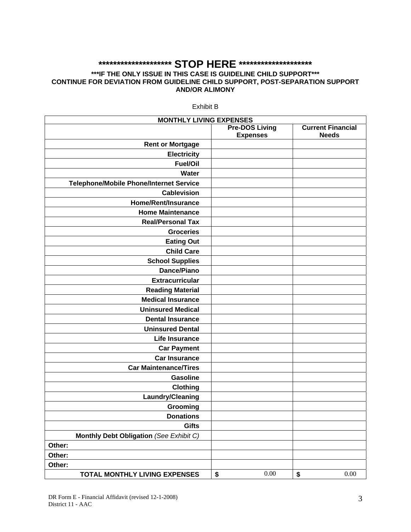## **\*\*\*\*\*\*\*\*\*\*\*\*\*\*\*\*\*\*\*\* STOP HERE \*\*\*\*\*\*\*\*\*\*\*\*\*\*\*\*\*\*\*\***

#### **\*\*\*IF THE ONLY ISSUE IN THIS CASE IS GUIDELINE CHILD SUPPORT\*\*\* CONTINUE FOR DEVIATION FROM GUIDELINE CHILD SUPPORT, POST-SEPARATION SUPPORT AND/OR ALIMONY**

| <b>MONTHLY LIVING EXPENSES</b>                 |                       |                          |
|------------------------------------------------|-----------------------|--------------------------|
|                                                | <b>Pre-DOS Living</b> | <b>Current Financial</b> |
|                                                | <b>Expenses</b>       | <b>Needs</b>             |
| <b>Rent or Mortgage</b>                        |                       |                          |
| <b>Electricity</b>                             |                       |                          |
| <b>Fuel/Oil</b>                                |                       |                          |
| <b>Water</b>                                   |                       |                          |
| <b>Telephone/Mobile Phone/Internet Service</b> |                       |                          |
| <b>Cablevision</b>                             |                       |                          |
| <b>Home/Rent/Insurance</b>                     |                       |                          |
| <b>Home Maintenance</b>                        |                       |                          |
| <b>Real/Personal Tax</b>                       |                       |                          |
| <b>Groceries</b>                               |                       |                          |
| <b>Eating Out</b>                              |                       |                          |
| <b>Child Care</b>                              |                       |                          |
| <b>School Supplies</b>                         |                       |                          |
| <b>Dance/Piano</b>                             |                       |                          |
| <b>Extracurricular</b>                         |                       |                          |
| <b>Reading Material</b>                        |                       |                          |
| <b>Medical Insurance</b>                       |                       |                          |
| <b>Uninsured Medical</b>                       |                       |                          |
| <b>Dental Insurance</b>                        |                       |                          |
| <b>Uninsured Dental</b>                        |                       |                          |
| <b>Life Insurance</b>                          |                       |                          |
| <b>Car Payment</b>                             |                       |                          |
| <b>Car Insurance</b>                           |                       |                          |
| <b>Car Maintenance/Tires</b>                   |                       |                          |
| <b>Gasoline</b>                                |                       |                          |
| <b>Clothing</b>                                |                       |                          |
| Laundry/Cleaning                               |                       |                          |
| Grooming                                       |                       |                          |
| <b>Donations</b>                               |                       |                          |
| <b>Gifts</b>                                   |                       |                          |
| Monthly Debt Obligation (See Exhibit C)        |                       |                          |
| Other:                                         |                       |                          |
| Other:                                         |                       |                          |
| Other:                                         |                       |                          |
| TOTAL MONTHLY LIVING EXPENSES                  | $0.00\,$<br>\$        | \$<br>0.00               |

Exhibit B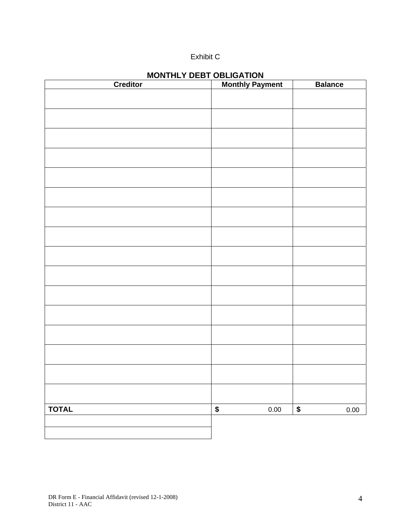## Exhibit C

| Creditor     | <b>Monthly Payment</b> | <b>Balance</b> |
|--------------|------------------------|----------------|
|              |                        |                |
|              |                        |                |
|              |                        |                |
|              |                        |                |
|              |                        |                |
|              |                        |                |
|              |                        |                |
|              |                        |                |
|              |                        |                |
|              |                        |                |
|              |                        |                |
|              |                        |                |
|              |                        |                |
|              |                        |                |
|              |                        |                |
|              |                        |                |
|              |                        |                |
|              |                        |                |
|              |                        |                |
|              |                        |                |
|              |                        |                |
|              |                        |                |
|              |                        |                |
|              |                        |                |
|              |                        |                |
|              |                        |                |
|              |                        |                |
| <b>TOTAL</b> | $\pmb{\$}$<br>0.00     | \$<br>0.00     |
|              |                        |                |
|              |                        |                |

## **MONTHLY DEBT OBLIGATION**